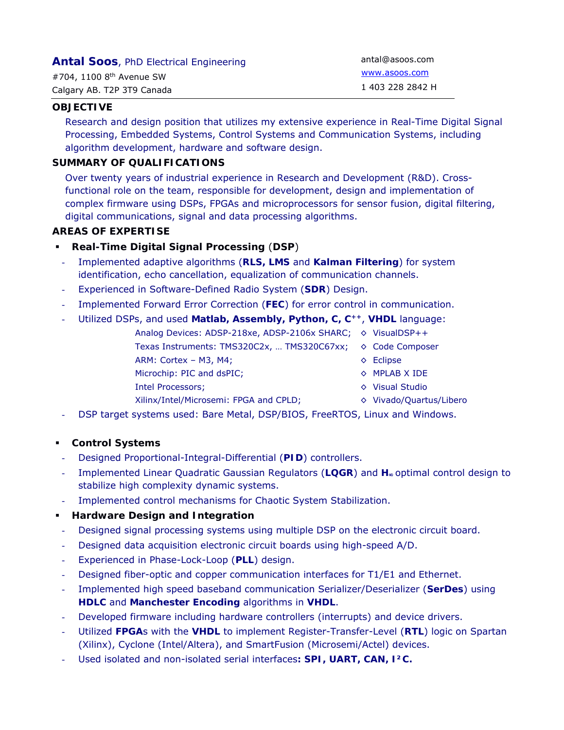| <b>Antal Soos, PhD Electrical Engineering</b> | antal@asoos.com  |
|-----------------------------------------------|------------------|
| #704, 1100 $8th$ Avenue SW                    | www.asoos.com    |
| Calgary AB. T2P 3T9 Canada                    | 1 403 228 2842 H |

## **OBJECTIVE**

Research and design position that utilizes my extensive experience in Real-Time Digital Signal Processing, Embedded Systems, Control Systems and Communication Systems, including algorithm development, hardware and software design.

## **SUMMARY OF QUALIFICATIONS**

Over twenty years of industrial experience in Research and Development (R&D). Crossfunctional role on the team, responsible for development, design and implementation of complex firmware using DSPs, FPGAs and microprocessors for sensor fusion, digital filtering, digital communications, signal and data processing algorithms.

## **AREAS OF EXPERTISE**

- **Real-Time Digital Signal Processing** (**DSP**)
	- Implemented adaptive algorithms (**RLS, LMS** and **Kalman Filtering**) for system identification, echo cancellation, equalization of communication channels.
	- Experienced in Software-Defined Radio System (**SDR**) Design.
- Implemented Forward Error Correction (**FEC**) for error control in communication.
- Utilized DSPs, and used **Matlab, Assembly, Python, C, C++**, **VHDL** language:
	- Analog Devices: ADSP-218xe, ADSP-2106x SHARC; ♦ VisualDSP++
	- Texas Instruments: TMS320C2x, ... TMS320C67xx; ♦ Code Composer
	- ARM: Cortex M3, M4;  $\Diamond$  Eclipse
	- Microchip: PIC and dsPIC;  $\Diamond$  MPLAB X IDE
	- Intel Processors; ◊ Visual Studio
- -
	- Xilinx/Intel/Microsemi: FPGA and CPLD;  $\Diamond$  Vivado/Quartus/Libero
- DSP target systems used: Bare Metal, DSP/BIOS, FreeRTOS, Linux and Windows.

#### **Control Systems**

- Designed Proportional-Integral-Differential (**PID**) controllers.
- Implemented Linear Quadratic Gaussian Regulators (LQGR) and H<sub>®</sub> optimal control design to stabilize high complexity dynamic systems.
- Implemented control mechanisms for Chaotic System Stabilization.

# **Hardware Design and Integration**

- Designed signal processing systems using multiple DSP on the electronic circuit board.
- Designed data acquisition electronic circuit boards using high-speed A/D.
- Experienced in Phase-Lock-Loop (**PLL**) design.
- Designed fiber-optic and copper communication interfaces for T1/E1 and Ethernet.
- Implemented high speed baseband communication Serializer/Deserializer (**SerDes**) using **HDLC** and **Manchester Encoding** algorithms in **VHDL**.
- Developed firmware including hardware controllers (interrupts) and device drivers.
- Utilized **FPGA**s with the **VHDL** to implement Register-Transfer-Level (**RTL**) logic on Spartan (Xilinx), Cyclone (Intel/Altera), and SmartFusion (Microsemi/Actel) devices.
- Used isolated and non-isolated serial interfaces**: SPI, UART, CAN, I²C.**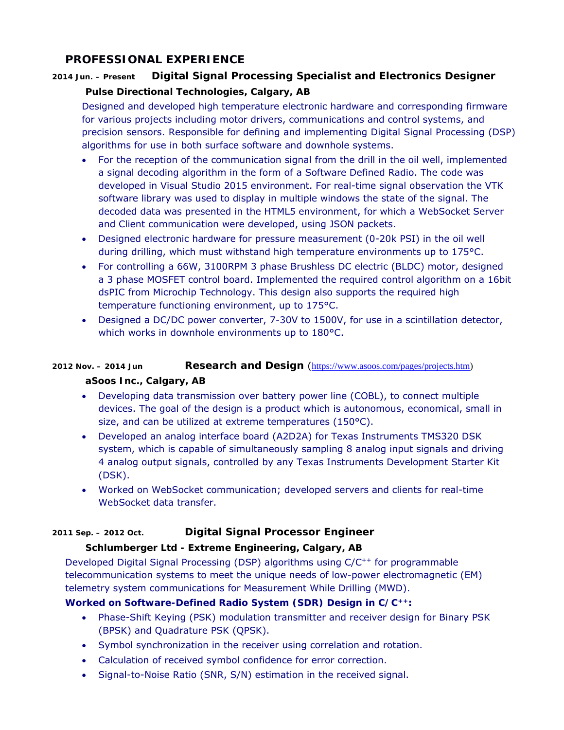# **PROFESSIONAL EXPERIENCE**

# **2014 Jun. – Present Digital Signal Processing Specialist and Electronics Designer**

# *Pulse Directional Technologies, Calgary, AB*

Designed and developed high temperature electronic hardware and corresponding firmware for various projects including motor drivers, communications and control systems, and precision sensors. Responsible for defining and implementing Digital Signal Processing (DSP) algorithms for use in both surface software and downhole systems.

- For the reception of the communication signal from the drill in the oil well, implemented a signal decoding algorithm in the form of a Software Defined Radio. The code was developed in Visual Studio 2015 environment. For real-time signal observation the VTK software library was used to display in multiple windows the state of the signal. The decoded data was presented in the HTML5 environment, for which a WebSocket Server and Client communication were developed, using JSON packets.
- Designed electronic hardware for pressure measurement (0-20k PSI) in the oil well during drilling, which must withstand high temperature environments up to 175°C.
- For controlling a 66W, 3100RPM 3 phase Brushless DC electric (BLDC) motor, designed a 3 phase MOSFET control board. Implemented the required control algorithm on a 16bit dsPIC from Microchip Technology. This design also supports the required high temperature functioning environment, up to 175°C.
- Designed a DC/DC power converter, 7-30V to 1500V, for use in a scintillation detector, which works in downhole environments up to 180°C.

# **2012 Nov. – 2014 Jun Research and Design** (https://www.asoos.com/pages/projects.htm)

# *aSoos Inc., Calgary, AB*

- Developing data transmission over battery power line (COBL), to connect multiple devices. The goal of the design is a product which is autonomous, economical, small in size, and can be utilized at extreme temperatures (150°C).
- Developed an analog interface board (A2D2A) for Texas Instruments TMS320 DSK system, which is capable of simultaneously sampling 8 analog input signals and driving 4 analog output signals, controlled by any Texas Instruments Development Starter Kit (DSK).
- Worked on WebSocket communication; developed servers and clients for real-time WebSocket data transfer.

# **2011 Sep. – 2012 Oct. Digital Signal Processor Engineer**

# *Schlumberger Ltd - Extreme Engineering, Calgary, AB*

Developed Digital Signal Processing (DSP) algorithms using  $C/C^{++}$  for programmable telecommunication systems to meet the unique needs of low-power electromagnetic (EM) telemetry system communications for Measurement While Drilling (MWD).

# **Worked on Software-Defined Radio System (SDR) Design in C/C++:**

- Phase-Shift Keying (PSK) modulation transmitter and receiver design for Binary PSK (BPSK) and Quadrature PSK (QPSK).
- Symbol synchronization in the receiver using correlation and rotation.
- Calculation of received symbol confidence for error correction.
- Signal-to-Noise Ratio (SNR, S/N) estimation in the received signal.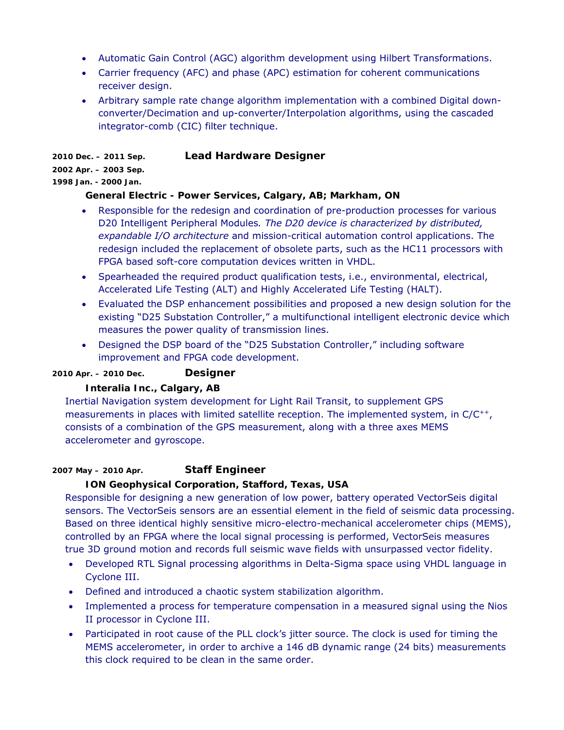- Automatic Gain Control (AGC) algorithm development using Hilbert Transformations.
- Carrier frequency (AFC) and phase (APC) estimation for coherent communications receiver design.
- Arbitrary sample rate change algorithm implementation with a combined Digital downconverter/Decimation and up-converter/Interpolation algorithms, using the cascaded integrator-comb (CIC) filter technique.

**2010 Dec. – 2011 Sep. Lead Hardware Designer 2002 Apr. – 2003 Sep.** 

#### **1998 Jan. - 2000 Jan.**

# *General Electric - Power Services, Calgary, AB; Markham, ON*

- Responsible for the redesign and coordination of pre-production processes for various D20 Intelligent Peripheral Modules*. The D20 device is characterized by distributed, expandable I/O architecture* and mission-critical automation control applications. The redesign included the replacement of obsolete parts, such as the HC11 processors with FPGA based soft-core computation devices written in VHDL.
- Spearheaded the required product qualification tests, i.e., environmental, electrical, Accelerated Life Testing (ALT) and Highly Accelerated Life Testing (HALT).
- Evaluated the DSP enhancement possibilities and proposed a new design solution for the existing "D25 Substation Controller," a multifunctional intelligent electronic device which measures the power quality of transmission lines.
- Designed the DSP board of the "D25 Substation Controller," including software improvement and FPGA code development.

**2010 Apr. – 2010 Dec. Designer** 

# *Interalia Inc., Calgary, AB*

Inertial Navigation system development for Light Rail Transit, to supplement GPS measurements in places with limited satellite reception. The implemented system, in  $C/C^{++}$ , consists of a combination of the GPS measurement, along with a three axes MEMS accelerometer and gyroscope.

**2007 May – 2010 Apr. Staff Engineer** 

# *ION Geophysical Corporation, Stafford, Texas, USA*

Responsible for designing a new generation of low power, battery operated VectorSeis digital sensors. The VectorSeis sensors are an essential element in the field of seismic data processing. Based on three identical highly sensitive micro-electro-mechanical accelerometer chips (MEMS), controlled by an FPGA where the local signal processing is performed, VectorSeis measures true 3D ground motion and records full seismic wave fields with unsurpassed vector fidelity.

- Developed RTL Signal processing algorithms in Delta-Sigma space using VHDL language in Cyclone III.
- Defined and introduced a chaotic system stabilization algorithm.
- Implemented a process for temperature compensation in a measured signal using the Nios II processor in Cyclone III.
- Participated in root cause of the PLL clock's jitter source. The clock is used for timing the MEMS accelerometer, in order to archive a 146 dB dynamic range (24 bits) measurements this clock required to be clean in the same order.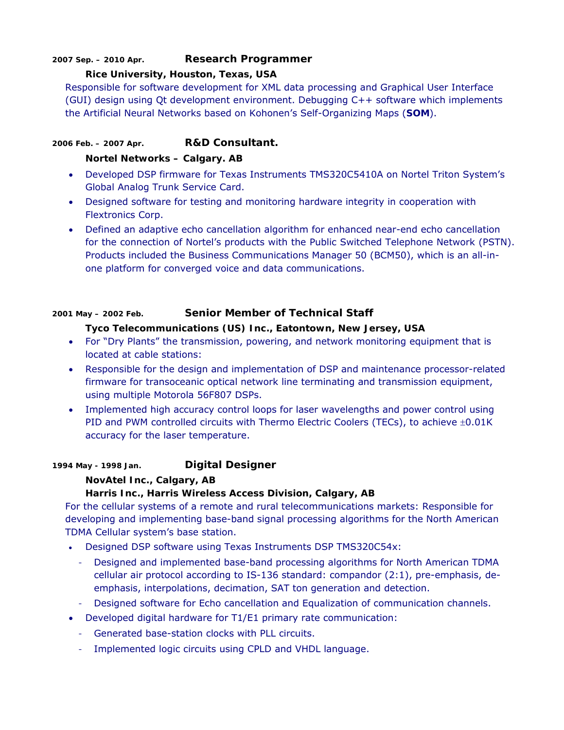## **2007 Sep. – 2010 Apr. Research Programmer**

#### *Rice University, Houston, Texas, USA*

Responsible for software development for XML data processing and Graphical User Interface (GUI) design using Qt development environment. Debugging C++ software which implements the Artificial Neural Networks based on Kohonen's Self-Organizing Maps (**SOM**).

# **2006 Feb. – 2007 Apr. R&D Consultant.**

#### *Nortel Networks – Calgary. AB*

- Developed DSP firmware for Texas Instruments TMS320C5410A on Nortel Triton System's Global Analog Trunk Service Card.
- Designed software for testing and monitoring hardware integrity in cooperation with Flextronics Corp.
- Defined an adaptive echo cancellation algorithm for enhanced near-end echo cancellation for the connection of Nortel's products with the Public Switched Telephone Network (PSTN). Products included the Business Communications Manager 50 (BCM50), which is an all-inone platform for converged voice and data communications.

## **2001 May – 2002 Feb. Senior Member of Technical Staff**

## *Tyco Telecommunications (US) Inc., Eatontown, New Jersey, USA*

- For "Dry Plants" the transmission, powering, and network monitoring equipment that is located at cable stations:
- Responsible for the design and implementation of DSP and maintenance processor-related firmware for transoceanic optical network line terminating and transmission equipment, using multiple Motorola 56F807 DSPs.
- Implemented high accuracy control loops for laser wavelengths and power control using PID and PWM controlled circuits with Thermo Electric Coolers (TECs), to achieve  $\pm 0.01K$ accuracy for the laser temperature.

#### **1994 May - 1998 Jan. Digital Designer**

#### *NovAtel Inc., Calgary, AB*

# *Harris Inc., Harris Wireless Access Division, Calgary, AB*

For the cellular systems of a remote and rural telecommunications markets: Responsible for developing and implementing base-band signal processing algorithms for the North American TDMA Cellular system's base station.

- Designed DSP software using Texas Instruments DSP TMS320C54x:
	- Designed and implemented base-band processing algorithms for North American TDMA cellular air protocol according to IS-136 standard: compandor (2:1), pre-emphasis, deemphasis, interpolations, decimation, SAT ton generation and detection.
	- Designed software for Echo cancellation and Equalization of communication channels.
- Developed digital hardware for T1/E1 primary rate communication:
	- Generated base-station clocks with PLL circuits.
	- Implemented logic circuits using CPLD and VHDL language.